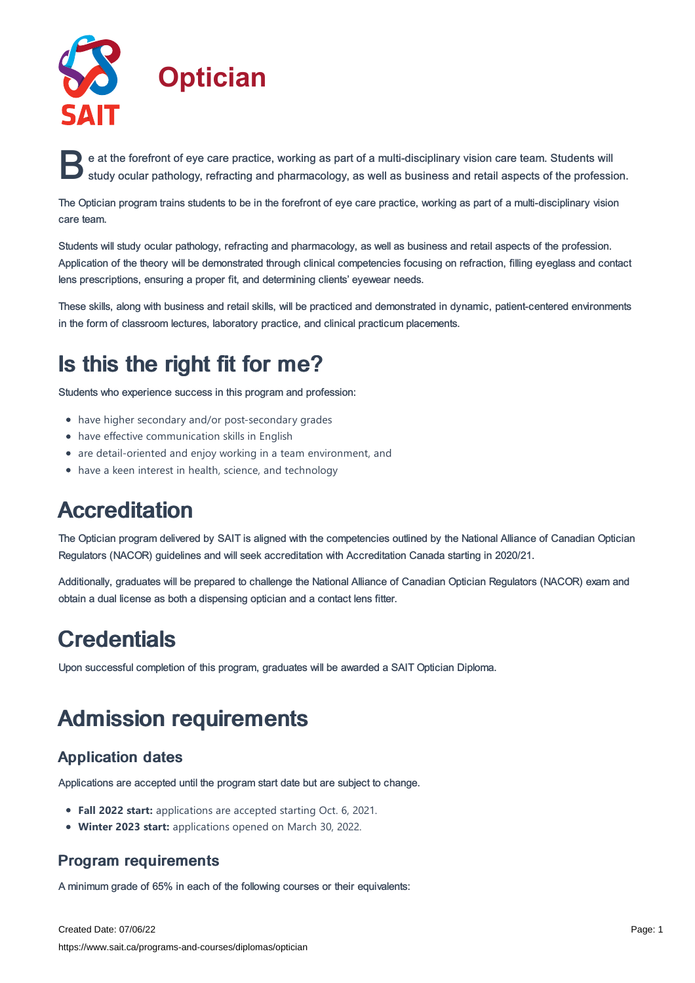

e at the forefront of eye care practice, working as part of a multi-disciplinary vision care team. Students will<br>study ocular pathology, refracting and pharmacology, as well as business and retail aspects of the profession study ocular pathology, refracting and pharmacology, as well as business and retail aspects of the profession.

The Optician program trains students to be in the forefront of eye care practice, working as part of a multi-disciplinary vision care team.

Students will study ocular pathology, refracting and pharmacology, as well as business and retail aspects of the profession. Application of the theory will be demonstrated through clinical competencies focusing on refraction, filling eyeglass and contact lens prescriptions, ensuring a proper fit, and determining clients' eyewear needs.

These skills, along with business and retail skills, will be practiced and demonstrated in dynamic, patient-centered environments in the form of classroom lectures, laboratory practice, and clinical practicum placements.

## Is this the right fit for me?

Students who experience success in this program and profession:

- have higher secondary and/or post-secondary grades
- have effective communication skills in English
- are detail-oriented and enjoy working in a team environment, and
- have a keen interest in health, science, and technology

## Accreditation

The Optician program delivered by SAIT is aligned with the competencies outlined by the National Alliance of Canadian Optician Regulators (NACOR) guidelines and will seek accreditation with Accreditation Canada starting in 2020/21.

Additionally, graduates will be prepared to challenge the National Alliance of Canadian Optician Regulators (NACOR) exam and obtain a dual license as both a dispensing optician and a contact lens fitter.

## **Credentials**

Upon successful completion of this program, graduates will be awarded a SAIT Optician Diploma.

# Admission requirements

## Application dates

Applications are accepted until the program start date but are subject to change.

- **Fall 2022 start:** applications are accepted starting Oct. 6, 2021.
- **Winter 2023 start:** applications opened on March 30, 2022.

## Program requirements

A minimum grade of 65% in each of the following courses or their equivalents: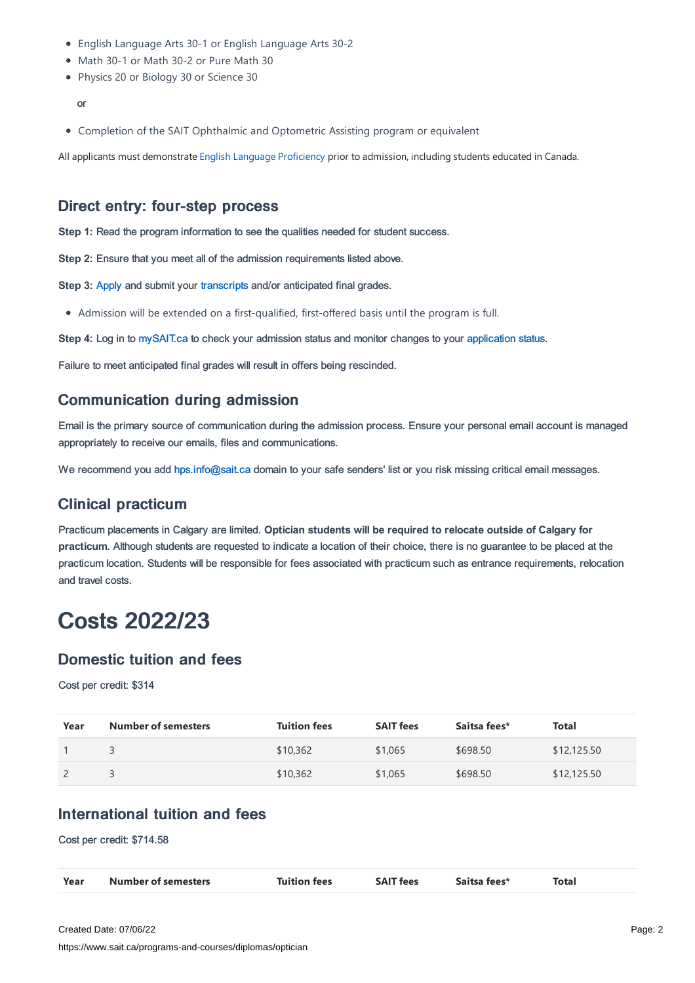- English Language Arts 30-1 or English Language Arts 30-2
- Math 30-1 or Math 30-2 or Pure Math 30
- Physics 20 or Biology 30 or Science 30

#### or

Completion of the SAIT Ophthalmic and Optometric Assisting program or equivalent

All applicants must demonstrate English Language [Proficiency](https://www.sait.ca/admissions/before-you-apply/english-proficiency) prior to admission, including students educated in Canada.

#### Direct entry: four-step process

**Step 1:** Read the program information to see the qualities needed for student success.

**Step 2:** Ensure that you meet all of the admission requirements listed above.

**Step 3:** [Apply](https://www.sait.ca/admissions/apply) and submit your [transcripts](https://www.sait.ca/admissions/after-you-apply/transcripts-and-supporting-documents) and/or anticipated final grades.

Admission will be extended on a first-qualified, first-offered basis until the program is full.

**Step 4:** Log in to [mySAIT.ca](http://www.mysait.ca) to check your admission status and monitor changes to your [application](https://www.sait.ca/admissions/after-you-apply/tracking-your-application) status.

Failure to meet anticipated final grades will result in offers being rescinded.

### Communication during admission

Email is the primary source of communication during the admission process. Ensure your personal email account is managed appropriately to receive our emails, files and communications.

We recommend you add [hps.info@sait.ca](https://sait.camailto:hps.info@sait.ca) domain to your safe senders' list or you risk missing critical email messages.

#### Clinical practicum

Practicum placements in Calgary are limited. **Optician students will be required to relocate outside of Calgary for practicum**. Although students are requested to indicate a location of their choice, there is no guarantee to be placed at the practicum location. Students will be responsible for fees associated with practicum such as entrance requirements, relocation and travel costs.

## Costs 2022/23

#### Domestic tuition and fees

Cost per credit: \$314

| Year | Number of semesters | <b>Tuition fees</b> | <b>SAIT fees</b> | Saitsa fees* | Total       |
|------|---------------------|---------------------|------------------|--------------|-------------|
|      |                     | \$10,362            | \$1,065          | \$698.50     | \$12,125.50 |
|      |                     | \$10,362            | \$1,065          | \$698.50     | \$12,125.50 |

### International tuition and fees

Cost per credit: \$714.58

| Year | Number of semesters | <b>Tuition fees</b> | ----<br>SAI<br>T tees | Saitsa fees* | Total |
|------|---------------------|---------------------|-----------------------|--------------|-------|
|------|---------------------|---------------------|-----------------------|--------------|-------|